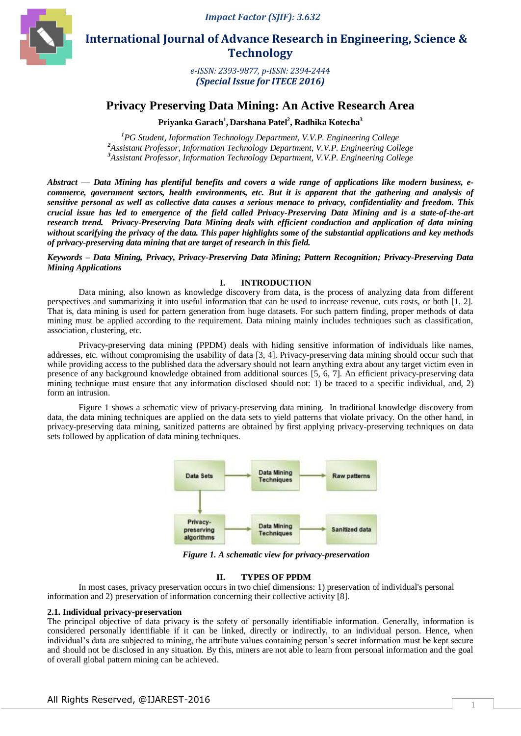

 **International Journal of Advance Research in Engineering, Science & Technology** 

> *e-ISSN: 2393-9877, p-ISSN: 2394-2444 (Special Issue for ITECE 2016)*

# **Privacy Preserving Data Mining: An Active Research Area**

**Priyanka Garach<sup>1</sup> , Darshana Patel<sup>2</sup> , Radhika Kotecha<sup>3</sup>**

*<sup>1</sup>PG Student, Information Technology Department, V.V.P. Engineering College <sup>2</sup>Assistant Professor, Information Technology Department, V.V.P. Engineering College <sup>3</sup>Assistant Professor, Information Technology Department, V.V.P. Engineering College*

*Abstract* — *Data Mining has plentiful benefits and covers a wide range of applications like modern business, ecommerce, government sectors, health environments, etc. But it is apparent that the gathering and analysis of sensitive personal as well as collective data causes a serious menace to privacy, confidentiality and freedom. This crucial issue has led to emergence of the field called Privacy-Preserving Data Mining and is a state-of-the-art research trend. Privacy-Preserving Data Mining deals with efficient conduction and application of data mining without scarifying the privacy of the data. This paper highlights some of the substantial applications and key methods of privacy-preserving data mining that are target of research in this field.*

*Keywords – Data Mining, Privacy, Privacy-Preserving Data Mining; Pattern Recognition; Privacy-Preserving Data Mining Applications*

### **I. INTRODUCTION**

Data mining, also known as knowledge discovery from data, is the process of analyzing data from different perspectives and summarizing it into useful information that can be used to increase revenue, cuts costs, or both [1, 2]. That is, data mining is used for pattern generation from huge datasets. For such pattern finding, proper methods of data mining must be applied according to the requirement. Data mining mainly includes techniques such as classification, association, clustering, etc.

Privacy-preserving data mining (PPDM) deals with hiding sensitive information of individuals like names, addresses, etc. without compromising the usability of data [3, 4]. Privacy-preserving data mining should occur such that while providing access to the published data the adversary should not learn anything extra about any target victim even in presence of any background knowledge obtained from additional sources [5, 6, 7]. An efficient privacy-preserving data mining technique must ensure that any information disclosed should not: 1) be traced to a specific individual, and, 2) form an intrusion.

Figure 1 shows a schematic view of privacy-preserving data mining. In traditional knowledge discovery from data, the data mining techniques are applied on the data sets to yield patterns that violate privacy. On the other hand, in privacy-preserving data mining, sanitized patterns are obtained by first applying privacy-preserving techniques on data sets followed by application of data mining techniques.



*Figure 1. A schematic view for privacy-preservation*

### **II. TYPES OF PPDM**

In most cases, privacy preservation occurs in two chief dimensions: 1) preservation of individual's personal information and 2) preservation of information concerning their collective activity [8].

### **2.1. Individual privacy-preservation**

The principal objective of data privacy is the safety of personally identifiable information. Generally, information is considered personally identifiable if it can be linked, directly or indirectly, to an individual person. Hence, when individual's data are subjected to mining, the attribute values containing person's secret information must be kept secure and should not be disclosed in any situation. By this, miners are not able to learn from personal information and the goal of overall global pattern mining can be achieved.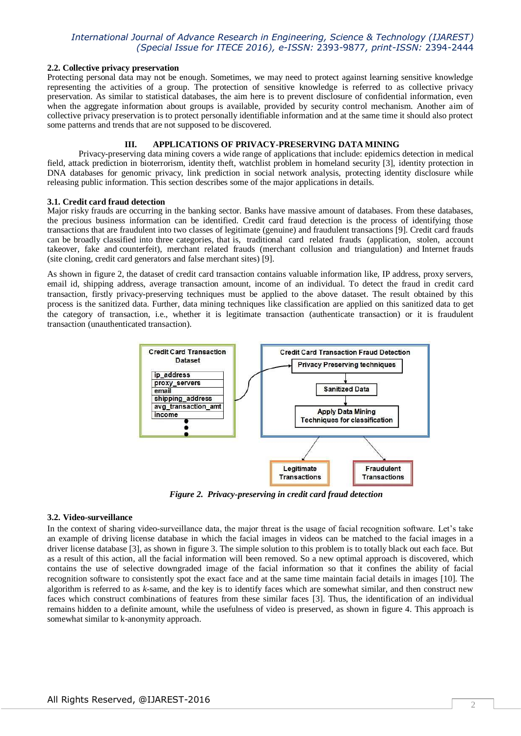### **2.2. Collective privacy preservation**

Protecting personal data may not be enough. Sometimes, we may need to protect against learning sensitive knowledge representing the activities of a group. The protection of sensitive knowledge is referred to as collective privacy preservation. As similar to statistical databases, the aim here is to prevent disclosure of confidential information, even when the aggregate information about groups is available, provided by security control mechanism. Another aim of collective privacy preservation is to protect personally identifiable information and at the same time it should also protect some patterns and trends that are not supposed to be discovered.

# **III. APPLICATIONS OF PRIVACY-PRESERVING DATA MINING**

Privacy-preserving data mining covers a wide range of applications that include: epidemics detection in medical field, attack prediction in bioterrorism, identity theft, watchlist problem in homeland security [3], identity protection in DNA databases for genomic privacy, link prediction in social network analysis, protecting identity disclosure while releasing public information. This section describes some of the major applications in details.

### **3.1. Credit card fraud detection**

Major risky frauds are occurring in the banking sector. Banks have massive amount of databases. From these databases, the precious business information can be identified. Credit card fraud detection is the process of identifying those transactions that are fraudulent into two classes of legitimate (genuine) and fraudulent transactions [9]. Credit card frauds can be broadly classified into three categories, that is, traditional card related frauds (application, stolen, account takeover, fake and counterfeit), merchant related frauds (merchant collusion and triangulation) and Internet frauds (site cloning, credit card generators and false merchant sites) [9].

As shown in figure 2, the dataset of credit card transaction contains valuable information like, IP address, proxy servers, email id, shipping address, average transaction amount, income of an individual. To detect the fraud in credit card transaction, firstly privacy-preserving techniques must be applied to the above dataset. The result obtained by this process is the sanitized data. Further, data mining techniques like classification are applied on this sanitized data to get the category of transaction, i.e., whether it is legitimate transaction (authenticate transaction) or it is fraudulent transaction (unauthenticated transaction).



*Figure 2. Privacy-preserving in credit card fraud detection*

### **3.2. Video-surveillance**

In the context of sharing video-surveillance data, the major threat is the usage of facial recognition software. Let's take an example of driving license database in which the facial images in videos can be matched to the facial images in a driver license database [3], as shown in figure 3. The simple solution to this problem is to totally black out each face. But as a result of this action, all the facial information will been removed. So a new optimal approach is discovered, which contains the use of selective downgraded image of the facial information so that it confines the ability of facial recognition software to consistently spot the exact face and at the same time maintain facial details in images [10]. The algorithm is referred to as *k*-same, and the key is to identify faces which are somewhat similar, and then construct new faces which construct combinations of features from these similar faces [3]. Thus, the identification of an individual remains hidden to a definite amount, while the usefulness of video is preserved, as shown in figure 4. This approach is somewhat similar to k-anonymity approach.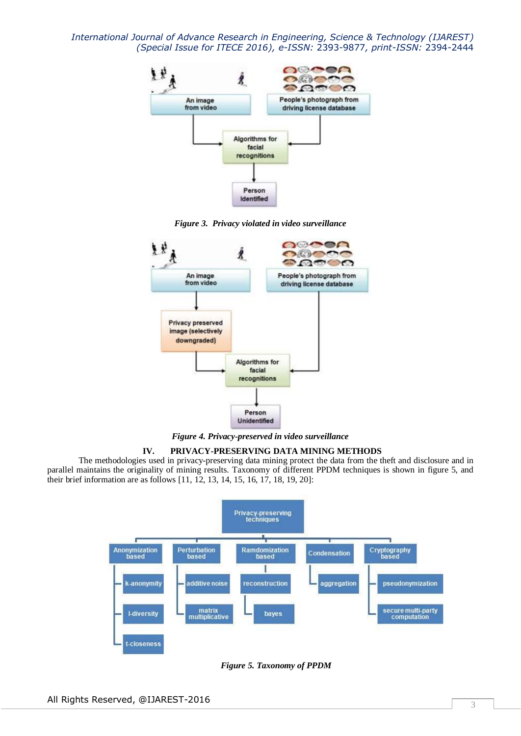

*Figure 3. Privacy violated in video surveillance*



*Figure 4. Privacy-preserved in video surveillance*

# **IV. PRIVACY-PRESERVING DATA MINING METHODS**

The methodologies used in privacy-preserving data mining protect the data from the theft and disclosure and in parallel maintains the originality of mining results. Taxonomy of different PPDM techniques is shown in figure 5, and their brief information are as follows [11, 12, 13, 14, 15, 16, 17, 18, 19, 20]:



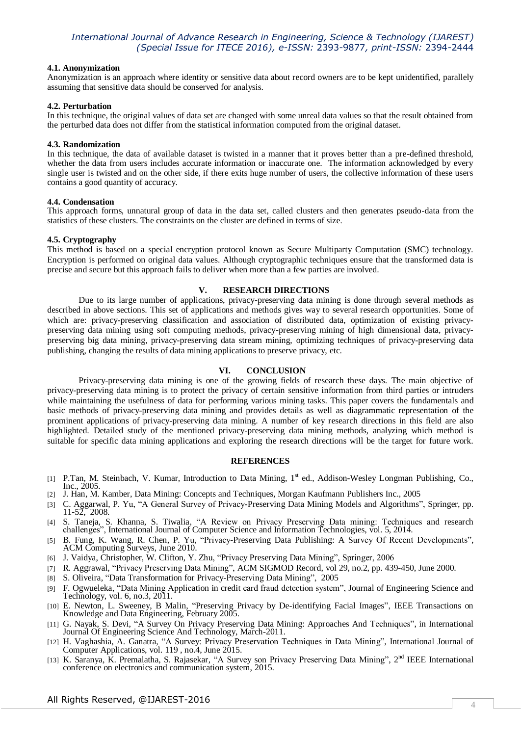## **4.1. Anonymization**

Anonymization is an approach where identity or sensitive data about record owners are to be kept unidentified, parallely assuming that sensitive data should be conserved for analysis.

### **4.2. Perturbation**

In this technique, the original values of data set are changed with some unreal data values so that the result obtained from the perturbed data does not differ from the statistical information computed from the original dataset.

## **4.3. Randomization**

In this technique, the data of available dataset is twisted in a manner that it proves better than a pre-defined threshold, whether the data from users includes accurate information or inaccurate one. The information acknowledged by every single user is twisted and on the other side, if there exits huge number of users, the collective information of these users contains a good quantity of accuracy.

### **4.4. Condensation**

This approach forms, unnatural group of data in the data set, called clusters and then generates pseudo-data from the statistics of these clusters. The constraints on the cluster are defined in terms of size.

### **4.5. Cryptography**

This method is based on a special encryption protocol known as Secure Multiparty Computation (SMC) technology. Encryption is performed on original data values. Although cryptographic techniques ensure that the transformed data is precise and secure but this approach fails to deliver when more than a few parties are involved.

### **V. RESEARCH DIRECTIONS**

Due to its large number of applications, privacy-preserving data mining is done through several methods as described in above sections. This set of applications and methods gives way to several research opportunities. Some of which are: privacy-preserving classification and association of distributed data, optimization of existing privacypreserving data mining using soft computing methods, privacy-preserving mining of high dimensional data, privacypreserving big data mining, privacy-preserving data stream mining, optimizing techniques of privacy-preserving data publishing, changing the results of data mining applications to preserve privacy, etc.

# **VI. CONCLUSION**

Privacy-preserving data mining is one of the growing fields of research these days. The main objective of privacy-preserving data mining is to protect the privacy of certain sensitive information from third parties or intruders while maintaining the usefulness of data for performing various mining tasks. This paper covers the fundamentals and basic methods of privacy-preserving data mining and provides details as well as diagrammatic representation of the prominent applications of privacy-preserving data mining. A number of key research directions in this field are also highlighted. Detailed study of the mentioned privacy-preserving data mining methods, analyzing which method is suitable for specific data mining applications and exploring the research directions will be the target for future work.

### **REFERENCES**

- [1] P.Tan, M. Steinbach, V. Kumar, Introduction to Data Mining, 1<sup>st</sup> ed., Addison-Wesley Longman Publishing, Co., Inc., 2005.
- [2] J. Han, M. Kamber, Data Mining: Concepts and Techniques, Morgan Kaufmann Publishers Inc., 2005
- [3] C. Aggarwal, P. Yu, "A General Survey of Privacy-Preserving Data Mining Models and Algorithms", Springer, pp. 11-52, 2008.
- [4] S. Taneja, S. Khanna, S. Tiwalia, "A Review on Privacy Preserving Data mining: Techniques and research challenges", International Journal of Computer Science and Information Technologies, vol. 5, 2014.
- [5] B. Fung, K. Wang, R. Chen, P. Yu, "Privacy-Preserving Data Publishing: A Survey Of Recent Developments", ACM Computing Surveys, June 2010.
- [6] J. Vaidya, Christopher, W. Clifton, Y. Zhu, "Privacy Preserving Data Mining", Springer, 2006
- [7] R. Aggrawal, "Privacy Preserving Data Mining", ACM SIGMOD Record, vol 29, no.2, pp. 439-450, June 2000.
- [8] S. Oliveira, "Data Transformation for Privacy-Preserving Data Mining", 2005
- [9] F. Ogwueleka, "Data Mining Application in credit card fraud detection system", Journal of Engineering Science and Technology, vol. 6, no.3, 2011.
- [10] E. Newton, L. Sweeney, B Malin, "Preserving Privacy by De-identifying Facial Images", IEEE Transactions on Knowledge and Data Engineering, February 2005.
- [11] G. Nayak, S. Devi, "A Survey On Privacy Preserving Data Mining: Approaches And Techniques", in International Journal Of Engineering Science And Technology, March-2011.
- [12] H. Vaghashia, A. Ganatra, "A Survey: Privacy Preservation Techniques in Data Mining", International Journal of Computer Applications, vol. 119, no.4, June 2015.
- [13] K. Saranya, K. Premalatha, S. Rajasekar, "A Survey son Privacy Preserving Data Mining", 2<sup>nd</sup> IEEE International conference on electronics and communication system, 2015.